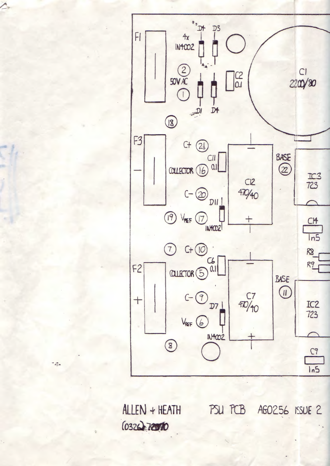

 $ALLEN + HEATH$ PSU PCB AG0256 ISSUE 2 (0326) 72070

 $\omega_{\frac{1}{2},n}$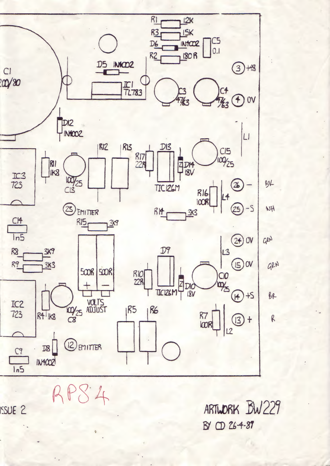

 $RPS4$ 

ARTWORK BW229 BY CD 264-87

**ISSUE 2**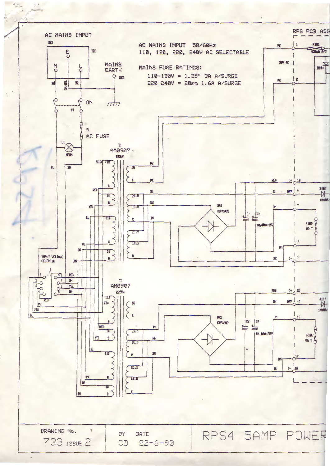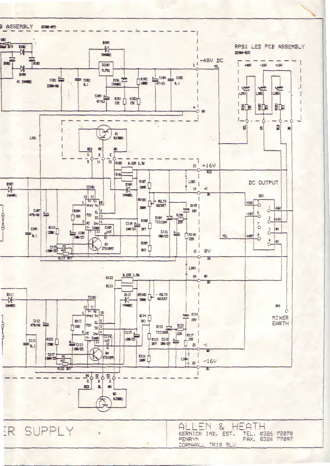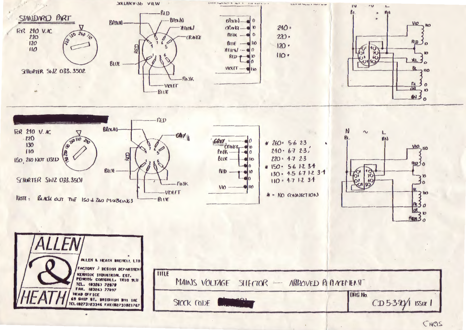